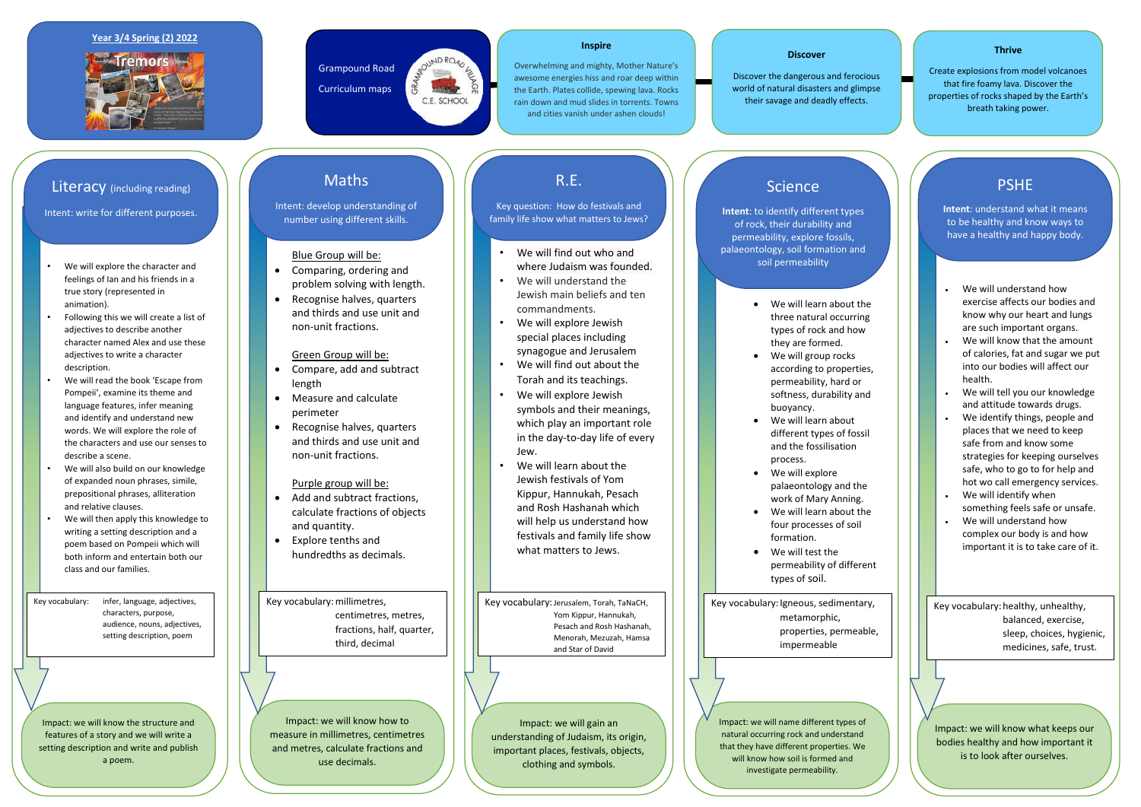- We will explore the character and feelings of Ian and his friends in a true story (represented in animation).
- Following this we will create a list of adjectives to describe another character named Alex and use these adjectives to write a character description.
- We will read the book 'Escape from Pompeii', examine its theme and language features, infer meaning and identify and understand new words. We will explore the role of the characters and use our senses to describe a scene.
- We will also build on our knowledge of expanded noun phrases, simile, prepositional phrases, alliteration and relative clauses.
- We will then apply this knowledge to writing a setting description and a poem based on Pompeii which will both inform and entertain both our class and our families.

#### **Year 3/4 Spring (2) 2022**



Grampound Road

**ASOUND ROAD KE** 

*<u>Contract</u>* C.E. SCHOOL

 $\frac{1}{2}$ 

GRA

Curriculum maps

#### **Discover**

- Add and subtract fractions. calculate fractions of objects and quantity.
- Explore tenths and hundredths as decimals.

Discover the dangerous and ferocious world of natural disasters and glimpse their savage and deadly effects.

#### **Thrive**

Create explosions from model volcanoes that fire foamy lava. Discover the properties of rocks shaped by the Earth's breath taking power.

#### **Inspire**

- We will find out who and where Judaism was founded.
- We will understand the Jewish main beliefs and ten commandments.
- We will explore Jewish special places including synagogue and Jerusalem
- We will find out about the Torah and its teachings.
- We will explore Jewish symbols and their meanings, which play an important role in the day-to-day life of every Jew.
- We will learn about the Jewish festivals of Yom Kippur, Hannukah, Pesach and Rosh Hashanah which will help us understand how festivals and family life show what matters to Jews.

Overwhelming and mighty, Mother Nature's awesome energies hiss and roar deep within the Earth. Plates collide, spewing lava. Rocks rain down and mud slides in torrents. Towns and cities vanish under ashen clouds!

#### Blue Group will be:

- Comparing, ordering and problem solving with length.
- Recognise halves, quarters and thirds and use unit and non-unit fractions.

Green Group will be:

- Compare, add and subtract length
- Measure and calculate perimeter
- Recognise halves, quarters and thirds and use unit and non-unit fractions.

### Purple group will be:

- We will learn about the three natural occurring types of rock and how they are formed.
- We will group rocks according to properties, permeability, hard or softness, durability and buoyancy.
- We will learn about different types of fossil and the fossilisation process.
- We will explore palaeontology and the work of Mary Anning.
- We will learn about the four processes of soil formation.
- We will test the permeability of different types of soil.
- We will understand how exercise affects our bodies and know why our heart and lungs are such important organs.
- We will know that the amount of calories, fat and sugar we put into our bodies will affect our health.
- We will tell you our knowledge and attitude towards drugs.
- We identify things, people and places that we need to keep safe from and know some strategies for keeping ourselves safe, who to go to for help and hot wo call emergency services.
- We will identify when something feels safe or unsafe. We will understand how complex our body is and how important it is to take care of it.

Impact: we will know the structure and features of a story and we will write a setting description and write and publish a poem.

Impact: we will know how to measure in millimetres, centimetres and metres, calculate fractions and use decimals.

Impact: we will gain an understanding of Judaism, its origin, important places, festivals, objects, clothing and symbols.

### **Science**

Impact: we will name different types of natural occurring rock and understand that they have different properties. We will know how soil is formed and investigate permeability.

Impact: we will know what keeps our bodies healthy and how important it is to look after ourselves.

### Literacy (including reading)

Intent: write for different purposes.

### Maths

Intent: develop understanding of number using different skills.

### R.E.

Key question: How do festivals and family life show what matters to Jews?

**Intent**: to identify different types of rock, their durability and permeability, explore fossils, palaeontology, soil formation and soil permeability

### PSHE

**Intent**: understand what it means to be healthy and know ways to have a healthy and happy body.

- 
- 
- 
- 
- 
- 
- 
- 
- 
- 

Key vocabulary: infer, language, adjectives, characters, purpose, audience, nouns, adjectives, setting description, poem

Key vocabulary:millimetres, centimetres, metres, fractions, half, quarter, third, decimal

Key vocabulary: Jerusalem, Torah, TaNaCH, Yom Kippur, Hannukah, Pesach and Rosh Hashanah, Menorah, Mezuzah, Hamsa and Star of David

Key vocabulary: Igneous, sedimentary, metamorphic, properties, permeable, impermeable

Key vocabulary: healthy, unhealthy, balanced, exercise, sleep, choices, hygienic, medicines, safe, trust.